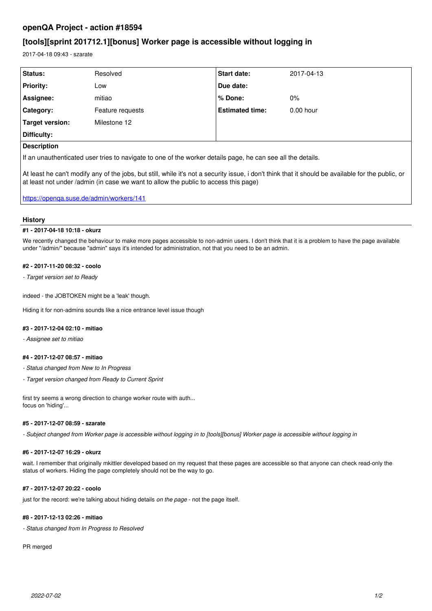## **openQA Project - action #18594**

# **[tools][sprint 201712.1][bonus] Worker page is accessible without logging in**

2017-04-18 09:43 - szarate

| Status:            | Resolved                                                                                                    | Start date:            | 2017-04-13  |  |
|--------------------|-------------------------------------------------------------------------------------------------------------|------------------------|-------------|--|
| <b>Priority:</b>   | LOW                                                                                                         | Due date:              |             |  |
| Assignee:          | mitiao                                                                                                      | % Done:                | $0\%$       |  |
| <b>Category:</b>   | Feature requests                                                                                            | <b>Estimated time:</b> | $0.00$ hour |  |
| Target version:    | Milestone 12                                                                                                |                        |             |  |
| Difficulty:        |                                                                                                             |                        |             |  |
| <b>Description</b> |                                                                                                             |                        |             |  |
|                    | If an unauthenticated user tries to navigate to one of the worker details page, he can see all the details. |                        |             |  |

At least he can't modify any of the jobs, but still, while it's not a security issue, i don't think that it should be available for the public, or at least not under /admin (in case we want to allow the public to access this page)

<https://openqa.suse.de/admin/workers/141>

#### **History**

#### **#1 - 2017-04-18 10:18 - okurz**

We recently changed the behaviour to make more pages accessible to non-admin users. I don't think that it is a problem to have the page available under "/admin/" because "admin" says it's intended for administration, not that you need to be an admin.

## **#2 - 2017-11-20 08:32 - coolo**

*- Target version set to Ready*

indeed - the JOBTOKEN might be a 'leak' though.

Hiding it for non-admins sounds like a nice entrance level issue though

## **#3 - 2017-12-04 02:10 - mitiao**

*- Assignee set to mitiao*

#### **#4 - 2017-12-07 08:57 - mitiao**

*- Status changed from New to In Progress*

*- Target version changed from Ready to Current Sprint*

first try seems a wrong direction to change worker route with auth... focus on 'hiding'...

#### **#5 - 2017-12-07 08:59 - szarate**

- Subject changed from Worker page is accessible without logging in to [tools][bonus] Worker page is accessible without logging in

#### **#6 - 2017-12-07 16:29 - okurz**

wait. I remember that originally mkittler developed based on my request that these pages are accessible so that anyone can check read-only the status of workers. Hiding the page completely should not be the way to go.

## **#7 - 2017-12-07 20:22 - coolo**

just for the record: we're talking about hiding details *on the page* - not the page itself.

#### **#8 - 2017-12-13 02:26 - mitiao**

*- Status changed from In Progress to Resolved*

PR merged